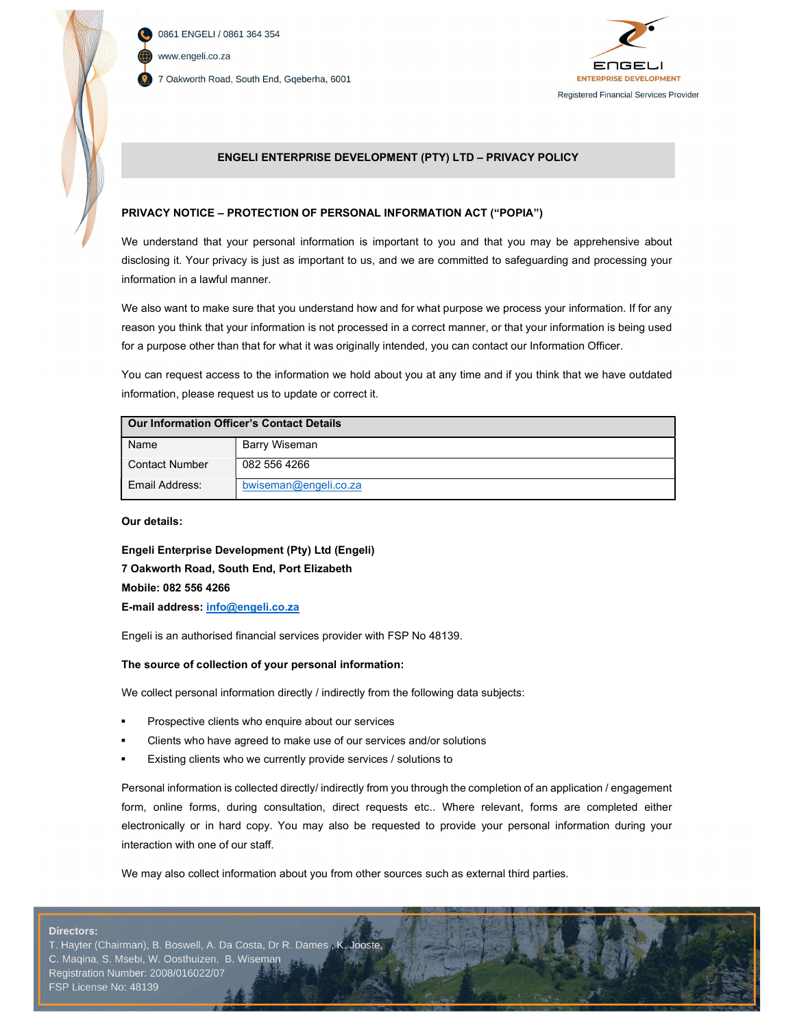

0861 ENGELI / 0861 364 354 www.engeli.co.za 7 Oakworth Road, South End, Gqeberha, 6001



Page 1 of 3

## ENGELI ENTERPRISE DEVELOPMENT (PTY) LTD – PRIVACY POLICY

## PRIVACY NOTICE – PROTECTION OF PERSONAL INFORMATION ACT ("POPIA")

We understand that your personal information is important to you and that you may be apprehensive about disclosing it. Your privacy is just as important to us, and we are committed to safeguarding and processing your information in a lawful manner.

We also want to make sure that you understand how and for what purpose we process your information. If for any reason you think that your information is not processed in a correct manner, or that your information is being used for a purpose other than that for what it was originally intended, you can contact our Information Officer.

You can request access to the information we hold about you at any time and if you think that we have outdated information, please request us to update or correct it.

| <b>Our Information Officer's Contact Details</b> |                       |
|--------------------------------------------------|-----------------------|
| Name                                             | Barry Wiseman         |
| Contact Number                                   | 082 556 4266          |
| Email Address:                                   | bwiseman@engeli.co.za |

Our details:

Engeli Enterprise Development (Pty) Ltd (Engeli) 7 Oakworth Road, South End, Port Elizabeth Mobile: 082 556 4266 E-mail address: info@engeli.co.za

Engeli is an authorised financial services provider with FSP No 48139.

### The source of collection of your personal information:

We collect personal information directly / indirectly from the following data subjects:

- Prospective clients who enquire about our services
- Clients who have agreed to make use of our services and/or solutions
- Existing clients who we currently provide services / solutions to

Personal information is collected directly/ indirectly from you through the completion of an application / engagement form, online forms, during consultation, direct requests etc.. Where relevant, forms are completed either electronically or in hard copy. You may also be requested to provide your personal information during your interaction with one of our staff.

We may also collect information about you from other sources such as external third parties.

#### **Directors:**

T. Hayter (Chairman), B. Boswell, A. Da Costa, Dr R. Dames, K. **Jooste** C. Maqina, S. Msebi, W. Oosthuizen, B. Wiseman Registration Number: 2008/016022/07 FSP License No: 48139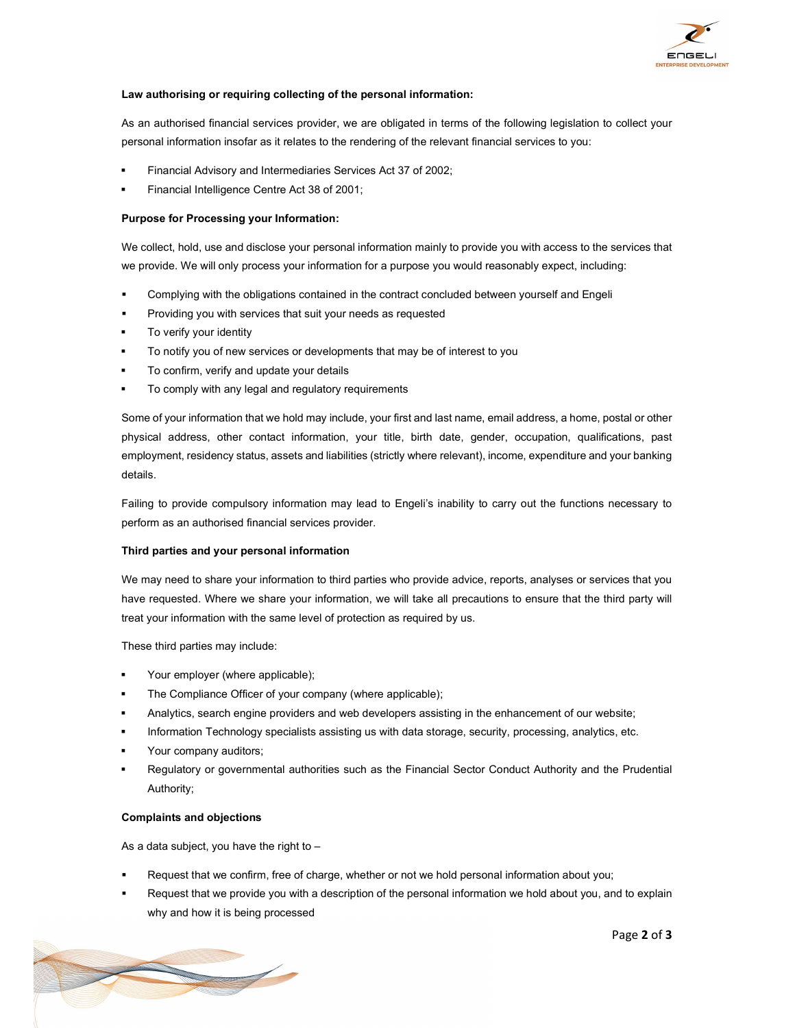

## Law authorising or requiring collecting of the personal information:

As an authorised financial services provider, we are obligated in terms of the following legislation to collect your personal information insofar as it relates to the rendering of the relevant financial services to you:

- Financial Advisory and Intermediaries Services Act 37 of 2002;
- Financial Intelligence Centre Act 38 of 2001;

## Purpose for Processing your Information:

We collect, hold, use and disclose your personal information mainly to provide you with access to the services that we provide. We will only process your information for a purpose you would reasonably expect, including:

- Complying with the obligations contained in the contract concluded between yourself and Engeli
- Providing you with services that suit your needs as requested
- To verify your identity
- To notify you of new services or developments that may be of interest to you
- To confirm, verify and update your details
- To comply with any legal and regulatory requirements

Some of your information that we hold may include, your first and last name, email address, a home, postal or other physical address, other contact information, your title, birth date, gender, occupation, qualifications, past employment, residency status, assets and liabilities (strictly where relevant), income, expenditure and your banking details.

Failing to provide compulsory information may lead to Engeli's inability to carry out the functions necessary to perform as an authorised financial services provider.

### Third parties and your personal information

We may need to share your information to third parties who provide advice, reports, analyses or services that you have requested. Where we share your information, we will take all precautions to ensure that the third party will treat your information with the same level of protection as required by us.

These third parties may include:

- Your employer (where applicable);
- The Compliance Officer of your company (where applicable);
- Analytics, search engine providers and web developers assisting in the enhancement of our website;
- Information Technology specialists assisting us with data storage, security, processing, analytics, etc.
- Your company auditors;
- Regulatory or governmental authorities such as the Financial Sector Conduct Authority and the Prudential Authority;

### Complaints and objections

As a data subject, you have the right to  $-$ 

- Request that we confirm, free of charge, whether or not we hold personal information about you;
- Request that we provide you with a description of the personal information we hold about you, and to explain why and how it is being processed